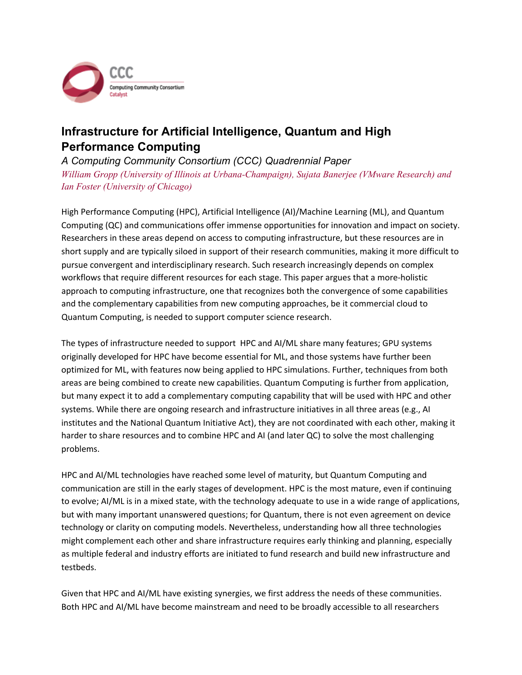

## **Infrastructure for Artificial Intelligence, Quantum and High Performance Computing**

## *A Computing Community Consortium (CCC) Quadrennial Paper*

*William Gropp (University of Illinois at Urbana-Champaign), Sujata Banerjee (VMware Research) and Ian Foster (University of Chicago)*

High Performance Computing (HPC), Artificial Intelligence (AI)/Machine Learning (ML), and Quantum Computing (QC) and communications offer immense opportunities for innovation and impact on society. Researchers in these areas depend on access to computing infrastructure, but these resources are in short supply and are typically siloed in support of their research communities, making it more difficult to pursue convergent and interdisciplinary research. Such research increasingly depends on complex workflows that require different resources for each stage. This paper argues that a more-holistic approach to computing infrastructure, one that recognizes both the convergence of some capabilities and the complementary capabilities from new computing approaches, be it commercial cloud to Quantum Computing, is needed to support computer science research.

 The types of infrastructure needed to support HPC and AI/ML share many features; GPU systems originally developed for HPC have become essential for ML, and those systems have further been optimized for ML, with features now being applied to HPC simulations. Further, techniques from both areas are being combined to create new capabilities. Quantum Computing is further from application, but many expect it to add a complementary computing capability that will be used with HPC and other systems. While there are ongoing research and infrastructure initiatives in all three areas (e.g., AI institutes and the National Quantum Initiative Act), they are not coordinated with each other, making it harder to share resources and to combine HPC and AI (and later QC) to solve the most challenging problems.

 HPC and AI/ML technologies have reached some level of maturity, but Quantum Computing and communication are still in the early stages of development. HPC is the most mature, even if continuing to evolve; AI/ML is in a mixed state, with the technology adequate to use in a wide range of applications, but with many important unanswered questions; for Quantum, there is not even agreement on device technology or clarity on computing models. Nevertheless, understanding how all three technologies might complement each other and share infrastructure requires early thinking and planning, especially as multiple federal and industry efforts are initiated to fund research and build new infrastructure and testbeds.

 Given that HPC and AI/ML have existing synergies, we first address the needs of these communities. Both HPC and AI/ML have become mainstream and need to be broadly accessible to all researchers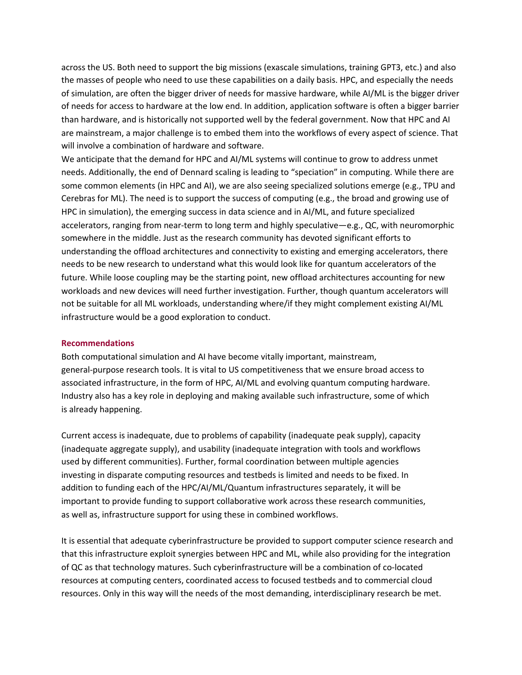across the US. Both need to support the big missions (exascale simulations, training GPT3, etc.) and also the masses of people who need to use these capabilities on a daily basis. HPC, and especially the needs of simulation, are often the bigger driver of needs for massive hardware, while AI/ML is the bigger driver of needs for access to hardware at the low end. In addition, application software is often a bigger barrier than hardware, and is historically not supported well by the federal government. Now that HPC and AI are mainstream, a major challenge is to embed them into the workflows of every aspect of science. That will involve a combination of hardware and software.

 We anticipate that the demand for HPC and AI/ML systems will continue to grow to address unmet needs. Additionally, the end of Dennard scaling is leading to "speciation" in computing. While there are some common elements (in HPC and AI), we are also seeing specialized solutions emerge (e.g., TPU and Cerebras for ML). The need is to support the success of computing (e.g., the broad and growing use of HPC in simulation), the emerging success in data science and in AI/ML, and future specialized accelerators, ranging from near-term to long term and highly speculative—e.g., QC, with neuromorphic somewhere in the middle. Just as the research community has devoted significant efforts to understanding the offload architectures and connectivity to existing and emerging accelerators, there needs to be new research to understand what this would look like for quantum accelerators of the future. While loose coupling may be the starting point, new offload architectures accounting for new workloads and new devices will need further investigation. Further, though quantum accelerators will not be suitable for all ML workloads, understanding where/if they might complement existing AI/ML infrastructure would be a good exploration to conduct.

## **Recommendations**

 Both computational simulation and AI have become vitally important, mainstream, general-purpose research tools. It is vital to US competitiveness that we ensure broad access to associated infrastructure, in the form of HPC, AI/ML and evolving quantum computing hardware. Industry also has a key role in deploying and making available such infrastructure, some of which is already happening.

 Current access is inadequate, due to problems of capability (inadequate peak supply), capacity (inadequate aggregate supply), and usability (inadequate integration with tools and workflows used by different communities). Further, formal coordination between multiple agencies investing in disparate computing resources and testbeds is limited and needs to be fixed. In addition to funding each of the HPC/AI/ML/Quantum infrastructures separately, it will be important to provide funding to support collaborative work across these research communities, as well as, infrastructure support for using these in combined workflows.

 It is essential that adequate cyberinfrastructure be provided to support computer science research and that this infrastructure exploit synergies between HPC and ML, while also providing for the integration of QC as that technology matures. Such cyberinfrastructure will be a combination of co-located resources at computing centers, coordinated access to focused testbeds and to commercial cloud resources. Only in this way will the needs of the most demanding, interdisciplinary research be met.